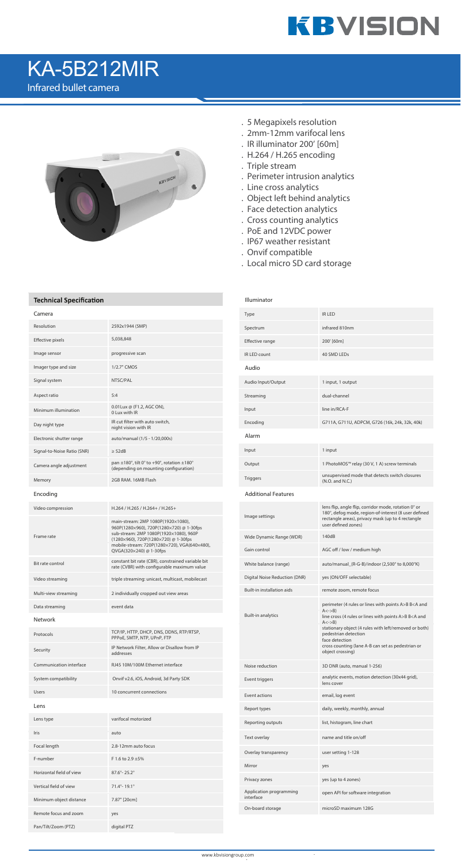- . 5 Megapixels resolution
- . 2mm-12mm varifocal lens
- . IR illuminator 200' [60m]
- . H.264 / H.265 encoding
- . Triple stream
- . Perimeter intrusion analytics
- . Line cross analytics
- . Object left behind analytics
- . Face detection analytics
- . Cross counting analytics
- . PoE and 12VDC power
- . IP67 weather resistant
- . Onvif compatible

. Local micro SD card storage

### **Technical Specification**

Illuminator

| Camera                      |                                                                                                                                                                                                                                             | Type                          |
|-----------------------------|---------------------------------------------------------------------------------------------------------------------------------------------------------------------------------------------------------------------------------------------|-------------------------------|
| Resolution                  | 2592x1944 (5MP)                                                                                                                                                                                                                             | Spectrum                      |
| Effective pixels            | 5,038,848                                                                                                                                                                                                                                   | Effective range               |
| Image sensor                | progressive scan                                                                                                                                                                                                                            | IR LED count                  |
| Imager type and size        | 1/2.7" CMOS                                                                                                                                                                                                                                 | Audio                         |
| Signal system               | NTSC/PAL                                                                                                                                                                                                                                    | Audio Input/Output            |
| Aspect ratio                | 5:4                                                                                                                                                                                                                                         | Streaming                     |
| Minimum illumination        | 0.01 Lux @ (F1.2, AGC ON),<br>0 Lux with IR                                                                                                                                                                                                 | Input                         |
| Day night type              | IR cut filter with auto switch,<br>night vision with IR                                                                                                                                                                                     | Encoding                      |
| Electronic shutter range    | auto/manual (1/5 - 1/20,000s)                                                                                                                                                                                                               | Alarm                         |
| Signal-to-Noise Ratio (SNR) | $\geq$ 52dB                                                                                                                                                                                                                                 | Input                         |
| Camera angle adjustment     | pan $\pm$ 180°, tilt 0° to +90°, rotation $\pm$ 180°<br>(depending on mounting configuration)                                                                                                                                               | Output                        |
| Memory                      | 2GB RAM, 16MB Flash                                                                                                                                                                                                                         | <b>Triggers</b>               |
| Encoding                    |                                                                                                                                                                                                                                             | <b>Additional Features</b>    |
| Video compression           | H.264 / H.265 / H.264+ / H.265+                                                                                                                                                                                                             |                               |
| Frame rate                  | main-stream: 2MP 1080P(1920×1080),<br>960P(1280×960), 720P(1280×720) @ 1-30fps<br>sub-stream: 2MP 1080P(1920×1080), 960P<br>(1280×960), 720P(1280×720) @ 1-30fps<br>mobile-stream: 720P(1280×720), VGA(640×480),<br>QVGA(320×240) @ 1-30fps | Image settings                |
|                             |                                                                                                                                                                                                                                             | Wide Dynamic Range (W         |
|                             |                                                                                                                                                                                                                                             | Gain control                  |
| Bit rate control            | constant bit rate (CBR), constrained variable bit<br>rate (CVBR) with configurable maximum value                                                                                                                                            | White balance (range)         |
| Video streaming             | triple streaming: unicast, multicast, mobilecast                                                                                                                                                                                            | Digital Noise Reduction       |
| Multi-view streaming        | 2 individually cropped out view areas                                                                                                                                                                                                       | Built-in installation aids    |
| Data streaming              | event data                                                                                                                                                                                                                                  |                               |
| Network                     |                                                                                                                                                                                                                                             | Built-in analytics            |
| Protocols                   | TCP/IP, HTTP, DHCP, DNS, DDNS, RTP/RTSP,<br>PPPoE, SMTP, NTP, UPnP, FTP                                                                                                                                                                     |                               |
| Security                    | IP Network Filter, Allow or Disallow from IP<br>addresses                                                                                                                                                                                   |                               |
| Communication interface     | RJ45 10M/100M Ethernet interface                                                                                                                                                                                                            | Noise reduction               |
| System compatibility        | Onvif v2.6, iOS, Android, 3d Party SDK                                                                                                                                                                                                      | Event triggers                |
| Users                       | 10 concurrent connections                                                                                                                                                                                                                   | Event actions                 |
| Lens                        |                                                                                                                                                                                                                                             | Report types                  |
| Lens type                   | varifocal motorized                                                                                                                                                                                                                         | Reporting outputs             |
| Iris                        | auto                                                                                                                                                                                                                                        | Text overlay                  |
| Focal length                | 2.8-12mm auto focus                                                                                                                                                                                                                         | Overlay transparency          |
| F-number                    | F 1.6 to 2.9 ±5%                                                                                                                                                                                                                            | Mirror                        |
| Horizontal field of view    | $87.6^{\circ} - 25.2^{\circ}$                                                                                                                                                                                                               | Privacy zones                 |
| Vertical field of view      | 71.4°-19.1°                                                                                                                                                                                                                                 | Application programmir        |
| Minimum object distance     | 7.87" [20cm]                                                                                                                                                                                                                                | interface<br>On-board storage |
| Remote focus and zoom       | yes                                                                                                                                                                                                                                         |                               |
| Pan/Tilt/Zoom (PTZ)         | digital PTZ                                                                                                                                                                                                                                 |                               |

| Type                                 | <b>IR LED</b>                                                                                                                                                                                                                                                                                                                                                             |
|--------------------------------------|---------------------------------------------------------------------------------------------------------------------------------------------------------------------------------------------------------------------------------------------------------------------------------------------------------------------------------------------------------------------------|
| Spectrum                             | infrared 810nm                                                                                                                                                                                                                                                                                                                                                            |
| Effective range                      | 200' [60m]                                                                                                                                                                                                                                                                                                                                                                |
| IR LED count                         | 40 SMD LEDs                                                                                                                                                                                                                                                                                                                                                               |
| Audio                                |                                                                                                                                                                                                                                                                                                                                                                           |
| Audio Input/Output                   | 1 input, 1 output                                                                                                                                                                                                                                                                                                                                                         |
| Streaming                            | dual-channel                                                                                                                                                                                                                                                                                                                                                              |
| Input                                | line in/RCA-F                                                                                                                                                                                                                                                                                                                                                             |
| Encoding                             | G711A, G711U, ADPCM, G726 (16k, 24k, 32k, 40k)                                                                                                                                                                                                                                                                                                                            |
| Alarm                                |                                                                                                                                                                                                                                                                                                                                                                           |
| Input                                | 1 input                                                                                                                                                                                                                                                                                                                                                                   |
| Output                               | 1 PhotoMOS™ relay (30 V, 1 A) screw terminals                                                                                                                                                                                                                                                                                                                             |
| <b>Triggers</b>                      | unsupervised mode that detects switch closures<br>(N.O. and N.C.)                                                                                                                                                                                                                                                                                                         |
| <b>Additional Features</b>           |                                                                                                                                                                                                                                                                                                                                                                           |
| Image settings                       | lens flip, angle flip, corridor mode, rotation 0° or<br>180°, defog mode, region-of-interest (8 user defined<br>rectangle areas), privacy mask (up to 4 rectangle<br>user defined zones)                                                                                                                                                                                  |
| Wide Dynamic Range (WDR)             | 140dB                                                                                                                                                                                                                                                                                                                                                                     |
| Gain control                         | AGC off / low / medium high                                                                                                                                                                                                                                                                                                                                               |
| White balance (range)                | auto/manual_(R-G-B)/indoor (2,500° to 8,000°K)                                                                                                                                                                                                                                                                                                                            |
| Digital Noise Reduction (DNR)        | yes (ON/OFF selectable)                                                                                                                                                                                                                                                                                                                                                   |
| Built-in installation aids           | remote zoom, remote focus                                                                                                                                                                                                                                                                                                                                                 |
| Built-in analytics                   | perimeter (4 rules or lines with points A>B B <a and<br=""><math>A \le -\ge B</math><br/>line cross (4 rules or lines with points A&gt;B B<a and<br=""><math>A \le -\ge B</math><br/>stationary object (4 rules with left/removed or both)<br/>pedestrian detection<br/>face detection<br/>cross counting (lane A-B can set as pedestrian or<br/>object crossing)</a></a> |
| Noise reduction                      | 3D DNR (auto, manual 1-256)                                                                                                                                                                                                                                                                                                                                               |
| Event triggers                       | analytic events, motion detection (30x44 grid),<br>lens cover                                                                                                                                                                                                                                                                                                             |
| Event actions                        | email, log event                                                                                                                                                                                                                                                                                                                                                          |
| Report types                         | daily, weekly, monthly, annual                                                                                                                                                                                                                                                                                                                                            |
| Reporting outputs                    | list, histogram, line chart                                                                                                                                                                                                                                                                                                                                               |
| Text overlay                         | name and title on/off                                                                                                                                                                                                                                                                                                                                                     |
| Overlay transparency                 | user setting 1-128                                                                                                                                                                                                                                                                                                                                                        |
| Mirror                               | yes                                                                                                                                                                                                                                                                                                                                                                       |
| Privacy zones                        | yes (up to 4 zones)                                                                                                                                                                                                                                                                                                                                                       |
| Application programming<br>interface | open API for software integration                                                                                                                                                                                                                                                                                                                                         |
| On-board storage                     | microSD maximum 128G                                                                                                                                                                                                                                                                                                                                                      |



# KA-5B212MIR

Infrared bullet camera